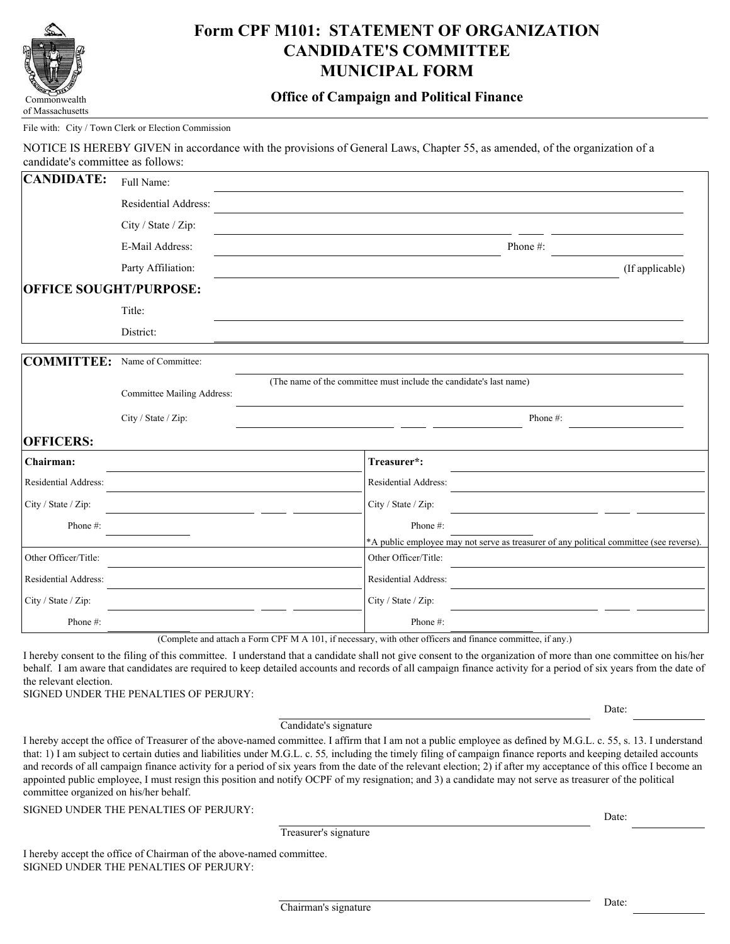

# **Form CPF M101: STATEMENT OF ORGANIZATION CANDIDATE'S COMMITTEE MUNICIPAL FORM**

# **Office of Campaign and Political Finance**

#### File with: City / Town Clerk or Election Commission

NOTICE IS HEREBY GIVEN in accordance with the provisions of General Laws, Chapter 55, as amended, of the organization of a candidate's committee as follows:

| <b>CANDIDATE:</b>             | Full Name:                 |                                                                    |                      |                                                                                         |                 |
|-------------------------------|----------------------------|--------------------------------------------------------------------|----------------------|-----------------------------------------------------------------------------------------|-----------------|
|                               | Residential Address:       |                                                                    |                      |                                                                                         |                 |
|                               | City / State / Zip:        |                                                                    |                      |                                                                                         |                 |
|                               | E-Mail Address:            |                                                                    |                      | Phone #:                                                                                |                 |
|                               | Party Affiliation:         |                                                                    |                      |                                                                                         | (If applicable) |
| <b>OFFICE SOUGHT/PURPOSE:</b> |                            |                                                                    |                      |                                                                                         |                 |
|                               | Title:                     |                                                                    |                      |                                                                                         |                 |
|                               | District:                  |                                                                    |                      |                                                                                         |                 |
| COMMITTEE:                    | Name of Committee:         |                                                                    |                      |                                                                                         |                 |
|                               | Committee Mailing Address: | (The name of the committee must include the candidate's last name) |                      |                                                                                         |                 |
|                               | City / State / Zip:        |                                                                    |                      | Phone #:                                                                                |                 |
| <b>OFFICERS:</b>              |                            |                                                                    |                      |                                                                                         |                 |
| Chairman:                     |                            |                                                                    | Treasurer*:          |                                                                                         |                 |
| Residential Address:          |                            |                                                                    | Residential Address: |                                                                                         |                 |
| City / State / Zip:           |                            |                                                                    | City / State / Zip:  |                                                                                         |                 |
| Phone #:                      |                            |                                                                    | Phone #:             |                                                                                         |                 |
|                               |                            |                                                                    |                      | *A public employee may not serve as treasurer of any political committee (see reverse). |                 |
| Other Officer/Title:          |                            |                                                                    | Other Officer/Title: |                                                                                         |                 |
| Residential Address:          |                            |                                                                    | Residential Address: |                                                                                         |                 |
| City / State / Zip:           |                            |                                                                    | City / State / Zip:  |                                                                                         |                 |
| Phone#:                       |                            |                                                                    | Phone#:              |                                                                                         |                 |

(Complete and attach a Form CPF M A 101, if necessary, with other officers and finance committee, if any.)

I hereby consent to the filing of this committee. I understand that a candidate shall not give consent to the organization of more than one committee on his/her behalf. I am aware that candidates are required to keep detailed accounts and records of all campaign finance activity for a period of six years from the date of the relevant election.

SIGNED UNDER THE PENALTIES OF PERJURY:

Candidate's signature

I hereby accept the office of Treasurer of the above-named committee. I affirm that I am not a public employee as defined by M.G.L. c. 55, s. 13. I understand that: 1) I am subject to certain duties and liabilities under M.G.L. c. 55*,* including the timely filing of campaign finance reports and keeping detailed accounts and records of all campaign finance activity for a period of six years from the date of the relevant election; 2) if after my acceptance of this office I become an appointed public employee, I must resign this position and notify OCPF of my resignation; and 3) a candidate may not serve as treasurer of the political committee organized on his/her behalf.

SIGNED UNDER THE PENALTIES OF PERJURY:

Treasurer's signature

I hereby accept the office of Chairman of the above-named committee. SIGNED UNDER THE PENALTIES OF PERJURY:

Date:

Date: